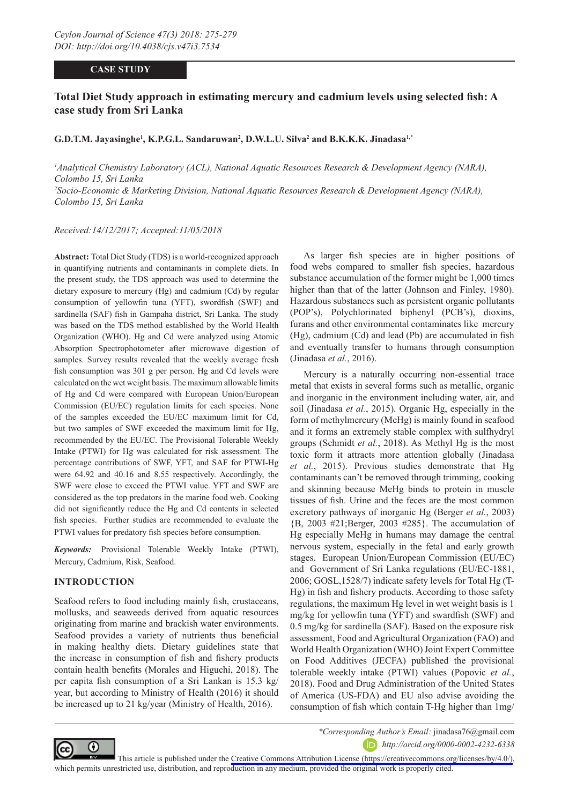### **CASE STUDY**

# **Total Diet Study approach in estimating mercury and cadmium levels using selected fish: A case study from Sri Lanka**

#### G.D.T.M. Jayasinghe<sup>1</sup>, K.P.G.L. Sandaruwan<sup>2</sup>, D.W.L.U. Silva<sup>2</sup> and B.K.K.K. Jinadasa<sup>1,\*</sup>

*1 Analytical Chemistry Laboratory (ACL), National Aquatic Resources Research & Development Agency (NARA), Colombo 15, Sri Lanka 2 Socio-Economic & Marketing Division, National Aquatic Resources Research & Development Agency (NARA), Colombo 15, Sri Lanka*

*Received:14/12/2017; Accepted:11/05/2018*

**Abstract:** Total Diet Study (TDS) is a world-recognized approach in quantifying nutrients and contaminants in complete diets. In the present study, the TDS approach was used to determine the dietary exposure to mercury (Hg) and cadmium (Cd) by regular consumption of yellowfin tuna (YFT), swordfish (SWF) and sardinella (SAF) fish in Gampaha district, Sri Lanka. The study was based on the TDS method established by the World Health Organization (WHO). Hg and Cd were analyzed using Atomic Absorption Spectrophotometer after microwave digestion of samples. Survey results revealed that the weekly average fresh fish consumption was 301 g per person. Hg and Cd levels were calculated on the wet weight basis. The maximum allowable limits of Hg and Cd were compared with European Union/European Commission (EU/EC) regulation limits for each species. None of the samples exceeded the EU/EC maximum limit for Cd, but two samples of SWF exceeded the maximum limit for Hg, recommended by the EU/EC. The Provisional Tolerable Weekly Intake (PTWI) for Hg was calculated for risk assessment. The percentage contributions of SWF, YFT, and SAF for PTWI-Hg were 64.92 and 40.16 and 8.55 respectively. Accordingly, the SWF were close to exceed the PTWI value. YFT and SWF are considered as the top predators in the marine food web. Cooking did not significantly reduce the Hg and Cd contents in selected fish species. Further studies are recommended to evaluate the PTWI values for predatory fish species before consumption.

*Keywords:* Provisional Tolerable Weekly Intake (PTWI), Mercury, Cadmium, Risk, Seafood.

## **INTRODUCTION**

Seafood refers to food including mainly fish, crustaceans, mollusks, and seaweeds derived from aquatic resources originating from marine and brackish water environments. Seafood provides a variety of nutrients thus beneficial in making healthy diets. Dietary guidelines state that the increase in consumption of fish and fishery products contain health benefits (Morales and Higuchi, 2018). The per capita fish consumption of a Sri Lankan is 15.3 kg/ year, but according to Ministry of Health (2016) it should be increased up to 21 kg/year (Ministry of Health, 2016).

As larger fish species are in higher positions of food webs compared to smaller fish species, hazardous substance accumulation of the former might be 1,000 times higher than that of the latter (Johnson and Finley, 1980). Hazardous substances such as persistent organic pollutants (POP's), Polychlorinated biphenyl (PCB's), dioxins, furans and other environmental contaminates like mercury (Hg), cadmium (Cd) and lead (Pb) are accumulated in fish and eventually transfer to humans through consumption (Jinadasa *et al.*, 2016).

Mercury is a naturally occurring non-essential trace metal that exists in several forms such as metallic, organic and inorganic in the environment including water, air, and soil (Jinadasa *et al.*, 2015). Organic Hg, especially in the form of methylmercury (MeHg) is mainly found in seafood and it forms an extremely stable complex with sulfhydryl groups (Schmidt *et al.*, 2018). As Methyl Hg is the most toxic form it attracts more attention globally (Jinadasa *et al.*, 2015). Previous studies demonstrate that Hg contaminants can't be removed through trimming, cooking and skinning because MeHg binds to protein in muscle tissues of fish. Urine and the feces are the most common excretory pathways of inorganic Hg (Berger *et al.*, 2003) {B, 2003 #21;Berger, 2003 #285}. The accumulation of Hg especially MeHg in humans may damage the central nervous system, especially in the fetal and early growth stages. European Union/European Commission (EU/EC) and Government of Sri Lanka regulations (EU/EC-1881, 2006; GOSL,1528/7) indicate safety levels for Total Hg (T-Hg) in fish and fishery products. According to those safety regulations, the maximum Hg level in wet weight basis is 1 mg/kg for yellowfin tuna (YFT) and swardfish (SWF) and 0.5 mg/kg for sardinella (SAF). Based on the exposure risk assessment, Food and Agricultural Organization (FAO) and World Health Organization (WHO) Joint Expert Committee on Food Additives (JECFA) published the provisional tolerable weekly intake (PTWI) values (Popovic *et al.*, 2018). Food and Drug Administration of the United States of America (US-FDA) and EU also advise avoiding the consumption of fish which contain T-Hg higher than 1mg/



*\*Corresponding Author's Email:* jinadasa76@gmail.com *http://orcid.org/0000-0002-4232-6338*

This article is published under the [Creative Commons Attribution License \(https://creativecommons.org/licenses/by/4.0/\)](https://creativecommons.org/licenses/by/4.0/), which permits unrestricted use, distribution, and reproduction in any medium, provided the original work is properly cited.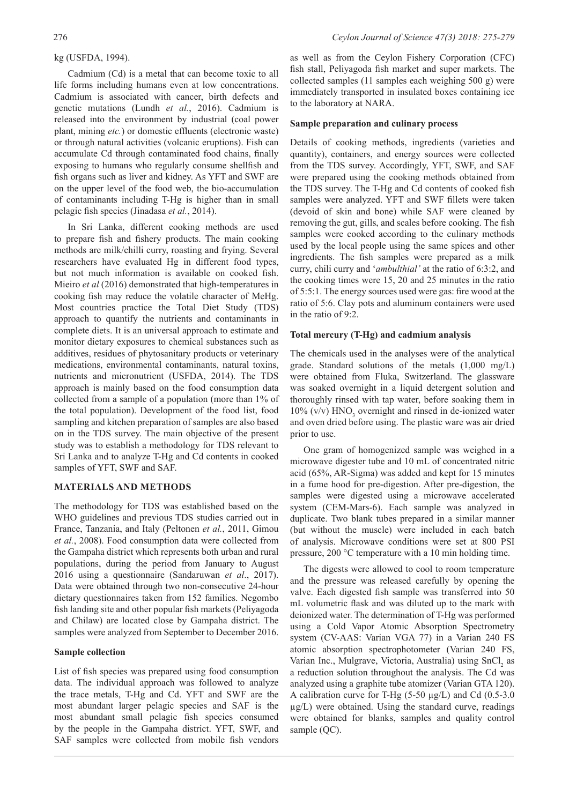### kg (USFDA, 1994).

Cadmium (Cd) is a metal that can become toxic to all life forms including humans even at low concentrations. Cadmium is associated with cancer, birth defects and genetic mutations (Lundh *et al.*, 2016). Cadmium is released into the environment by industrial (coal power plant, mining *etc.*) or domestic effluents (electronic waste) or through natural activities (volcanic eruptions). Fish can accumulate Cd through contaminated food chains, finally exposing to humans who regularly consume shellfish and fish organs such as liver and kidney. As YFT and SWF are on the upper level of the food web, the bio-accumulation of contaminants including T-Hg is higher than in small pelagic fish species (Jinadasa *et al.*, 2014).

In Sri Lanka, different cooking methods are used to prepare fish and fishery products. The main cooking methods are milk/chilli curry, roasting and frying. Several researchers have evaluated Hg in different food types, but not much information is available on cooked fish. Mieiro *et al* (2016) demonstrated that high-temperatures in cooking fish may reduce the volatile character of MeHg. Most countries practice the Total Diet Study (TDS) approach to quantify the nutrients and contaminants in complete diets. It is an universal approach to estimate and monitor dietary exposures to chemical substances such as additives, residues of phytosanitary products or veterinary medications, environmental contaminants, natural toxins, nutrients and micronutrient (USFDA, 2014). The TDS approach is mainly based on the food consumption data collected from a sample of a population (more than 1% of the total population). Development of the food list, food sampling and kitchen preparation of samples are also based on in the TDS survey. The main objective of the present study was to establish a methodology for TDS relevant to Sri Lanka and to analyze T-Hg and Cd contents in cooked samples of YFT, SWF and SAF.

#### **MATERIALS AND METHODS**

The methodology for TDS was established based on the WHO guidelines and previous TDS studies carried out in France, Tanzania, and Italy (Peltonen *et al.*, 2011, Gimou *et al.*, 2008). Food consumption data were collected from the Gampaha district which represents both urban and rural populations, during the period from January to August 2016 using a questionnaire (Sandaruwan *et al*., 2017). Data were obtained through two non-consecutive 24-hour dietary questionnaires taken from 152 families. Negombo fish landing site and other popular fish markets (Peliyagoda and Chilaw) are located close by Gampaha district. The samples were analyzed from September to December 2016.

#### **Sample collection**

List of fish species was prepared using food consumption data. The individual approach was followed to analyze the trace metals, T-Hg and Cd. YFT and SWF are the most abundant larger pelagic species and SAF is the most abundant small pelagic fish species consumed by the people in the Gampaha district. YFT, SWF, and SAF samples were collected from mobile fish vendors

as well as from the Ceylon Fishery Corporation (CFC) fish stall, Peliyagoda fish market and super markets. The collected samples (11 samples each weighing 500 g) were immediately transported in insulated boxes containing ice to the laboratory at NARA.

#### **Sample preparation and culinary process**

Details of cooking methods, ingredients (varieties and quantity), containers, and energy sources were collected from the TDS survey. Accordingly, YFT, SWF, and SAF were prepared using the cooking methods obtained from the TDS survey. The T-Hg and Cd contents of cooked fish samples were analyzed. YFT and SWF fillets were taken (devoid of skin and bone) while SAF were cleaned by removing the gut, gills, and scales before cooking. The fish samples were cooked according to the culinary methods used by the local people using the same spices and other ingredients. The fish samples were prepared as a milk curry, chili curry and '*ambulthial'* at the ratio of 6:3:2, and the cooking times were 15, 20 and 25 minutes in the ratio of 5:5:1. The energy sources used were gas: fire wood at the ratio of 5:6. Clay pots and aluminum containers were used in the ratio of 9:2.

#### **Total mercury (T-Hg) and cadmium analysis**

The chemicals used in the analyses were of the analytical grade. Standard solutions of the metals (1,000 mg/L) were obtained from Fluka, Switzerland. The glassware was soaked overnight in a liquid detergent solution and thoroughly rinsed with tap water, before soaking them in  $10\%$  (v/v)  $HNO<sub>3</sub>$  overnight and rinsed in de-ionized water and oven dried before using. The plastic ware was air dried prior to use.

One gram of homogenized sample was weighed in a microwave digester tube and 10 mL of concentrated nitric acid (65%, AR-Sigma) was added and kept for 15 minutes in a fume hood for pre-digestion. After pre-digestion, the samples were digested using a microwave accelerated system (CEM-Mars-6). Each sample was analyzed in duplicate. Two blank tubes prepared in a similar manner (but without the muscle) were included in each batch of analysis. Microwave conditions were set at 800 PSI pressure, 200 °C temperature with a 10 min holding time.

The digests were allowed to cool to room temperature and the pressure was released carefully by opening the valve. Each digested fish sample was transferred into 50 mL volumetric flask and was diluted up to the mark with deionized water. The determination of T-Hg was performed using a Cold Vapor Atomic Absorption Spectrometry system (CV-AAS: Varian VGA 77) in a Varian 240 FS atomic absorption spectrophotometer (Varian 240 FS, Varian Inc., Mulgrave, Victoria, Australia) using SnCl<sub>2</sub> as a reduction solution throughout the analysis. The Cd was analyzed using a graphite tube atomizer (Varian GTA 120). A calibration curve for T-Hg  $(5-50 \mu g/L)$  and Cd  $(0.5-3.0 \mu g/L)$  $\mu$ g/L) were obtained. Using the standard curve, readings were obtained for blanks, samples and quality control sample (QC).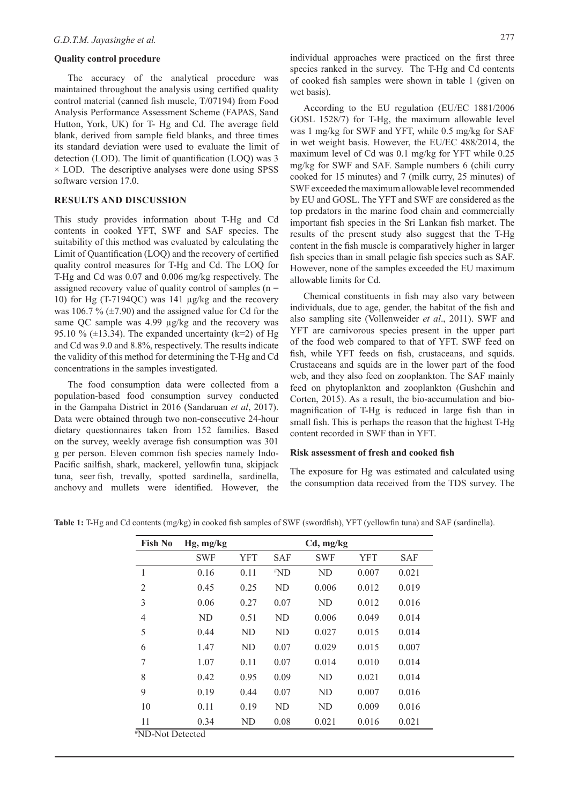#### **Quality control procedure**

The accuracy of the analytical procedure was maintained throughout the analysis using certified quality control material (canned fish muscle, T/07194) from Food Analysis Performance Assessment Scheme (FAPAS, Sand Hutton, York, UK) for T- Hg and Cd. The average field blank, derived from sample field blanks, and three times its standard deviation were used to evaluate the limit of detection (LOD). The limit of quantification (LOQ) was 3  $\times$  LOD. The descriptive analyses were done using SPSS software version 17.0.

#### **RESULTS AND DISCUSSION**

This study provides information about T-Hg and Cd contents in cooked YFT, SWF and SAF species. The suitability of this method was evaluated by calculating the Limit of Quantification (LOQ) and the recovery of certified quality control measures for T-Hg and Cd. The LOQ for T-Hg and Cd was 0.07 and 0.006 mg/kg respectively. The assigned recovery value of quality control of samples (n = 10) for Hg (T-7194QC) was 141 µg/kg and the recovery was 106.7 %  $(\pm 7.90)$  and the assigned value for Cd for the same QC sample was 4.99 µg/kg and the recovery was 95.10 % ( $\pm$ 13.34). The expanded uncertainty (k=2) of Hg and Cd was 9.0 and 8.8%, respectively. The results indicate the validity of this method for determining the T-Hg and Cd concentrations in the samples investigated.

The food consumption data were collected from a population-based food consumption survey conducted in the Gampaha District in 2016 (Sandaruan *et al*, 2017). Data were obtained through two non-consecutive 24-hour dietary questionnaires taken from 152 families. Based on the survey, weekly average fish consumption was 301 g per person. Eleven common fish species namely Indo-Pacific sailfish, shark, mackerel, yellowfin tuna, skipjack tuna, seer fish, trevally, spotted sardinella, sardinella, anchovy and mullets were identified. However, the

According to the EU regulation (EU/EC 1881/2006 GOSL 1528/7) for T-Hg, the maximum allowable level was 1 mg/kg for SWF and YFT, while 0.5 mg/kg for SAF in wet weight basis. However, the EU/EC 488/2014, the maximum level of Cd was 0.1 mg/kg for YFT while 0.25 mg/kg for SWF and SAF. Sample numbers 6 (chili curry cooked for 15 minutes) and 7 (milk curry, 25 minutes) of SWF exceeded the maximum allowable level recommended by EU and GOSL. The YFT and SWF are considered as the top predators in the marine food chain and commercially important fish species in the Sri Lankan fish market. The results of the present study also suggest that the T-Hg content in the fish muscle is comparatively higher in larger fish species than in small pelagic fish species such as SAF. However, none of the samples exceeded the EU maximum allowable limits for Cd.

Chemical constituents in fish may also vary between individuals, due to age, gender, the habitat of the fish and also sampling site (Vollenweider *et al*., 2011). SWF and YFT are carnivorous species present in the upper part of the food web compared to that of YFT. SWF feed on fish, while YFT feeds on fish, crustaceans, and squids. Crustaceans and squids are in the lower part of the food web, and they also feed on zooplankton. The SAF mainly feed on phytoplankton and zooplankton (Gushchin and Corten, 2015). As a result, the bio-accumulation and biomagnification of T-Hg is reduced in large fish than in small fish. This is perhaps the reason that the highest T-Hg content recorded in SWF than in YFT.

#### **Risk assessment of fresh and cooked fish**

The exposure for Hg was estimated and calculated using the consumption data received from the TDS survey. The

| Table 1: T-Hg and Cd contents (mg/kg) in cooked fish samples of SWF (swordfish), YFT (yellowfin tuna) and SAF (sardinella) |  |  |
|----------------------------------------------------------------------------------------------------------------------------|--|--|
|                                                                                                                            |  |  |

| <b>Fish No</b> | $Hg$ , mg/kg |                |            | Cd, mg/kg  |            |            |
|----------------|--------------|----------------|------------|------------|------------|------------|
|                | <b>SWF</b>   | <b>YFT</b>     | <b>SAF</b> | <b>SWF</b> | <b>YFT</b> | <b>SAF</b> |
| 1              | 0.16         | 0.11           | $*ND$      | ND         | 0.007      | 0.021      |
| $\overline{2}$ | 0.45         | 0.25           | <b>ND</b>  | 0.006      | 0.012      | 0.019      |
| 3              | 0.06         | 0.27           | 0.07       | <b>ND</b>  | 0.012      | 0.016      |
| $\overline{4}$ | ND           | 0.51           | <b>ND</b>  | 0.006      | 0.049      | 0.014      |
| 5              | 0.44         | N <sub>D</sub> | <b>ND</b>  | 0.027      | 0.015      | 0.014      |
| 6              | 1.47         | ND             | 0.07       | 0.029      | 0.015      | 0.007      |
| 7              | 1.07         | 0.11           | 0.07       | 0.014      | 0.010      | 0.014      |
| 8              | 0.42         | 0.95           | 0.09       | ND         | 0.021      | 0.014      |
| 9              | 0.19         | 0.44           | 0.07       | ND         | 0.007      | 0.016      |
| 10             | 0.11         | 0.19           | <b>ND</b>  | <b>ND</b>  | 0.009      | 0.016      |
| 11             | 0.34         | ND             | 0.08       | 0.021      | 0.016      | 0.021      |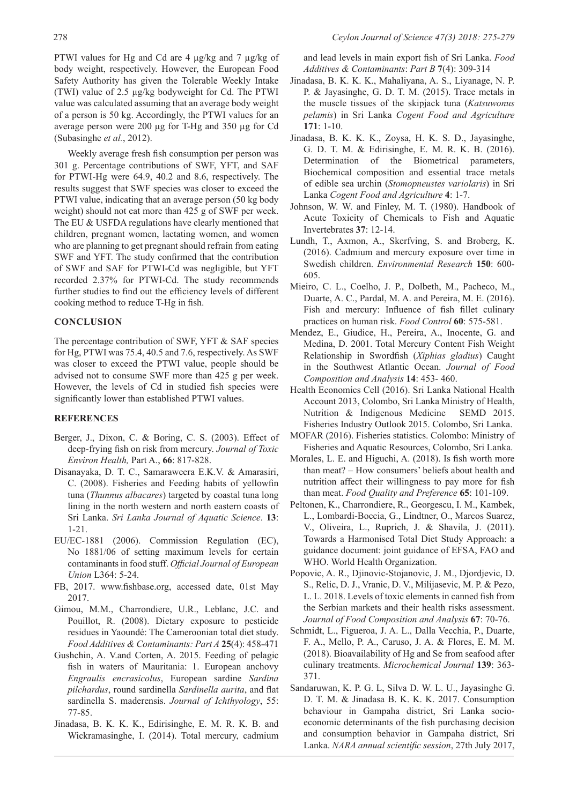PTWI values for Hg and Cd are 4 μg/kg and 7 µg/kg of body weight, respectively. However, the European Food Safety Authority has given the Tolerable Weekly Intake (TWI) value of 2.5 µg/kg bodyweight for Cd. The PTWI value was calculated assuming that an average body weight of a person is 50 kg. Accordingly, the PTWI values for an average person were 200 μg for T-Hg and 350 µg for Cd (Subasinghe *et al.*, 2012).

Weekly average fresh fish consumption per person was 301 g. Percentage contributions of SWF, YFT, and SAF for PTWI-Hg were 64.9, 40.2 and 8.6, respectively. The results suggest that SWF species was closer to exceed the PTWI value, indicating that an average person (50 kg body weight) should not eat more than 425 g of SWF per week. The EU & USFDA regulations have clearly mentioned that children, pregnant women, lactating women, and women who are planning to get pregnant should refrain from eating SWF and YFT. The study confirmed that the contribution of SWF and SAF for PTWI-Cd was negligible, but YFT recorded 2.37% for PTWI-Cd. The study recommends further studies to find out the efficiency levels of different cooking method to reduce T-Hg in fish.

### **CONCLUSION**

The percentage contribution of SWF, YFT & SAF species for Hg, PTWI was 75.4, 40.5 and 7.6, respectively. As SWF was closer to exceed the PTWI value, people should be advised not to consume SWF more than 425 g per week. However, the levels of Cd in studied fish species were significantly lower than established PTWI values.

#### **REFERENCES**

- Berger, J., Dixon, C. & Boring, C. S. (2003). Effect of deep-frying fish on risk from mercury. *Journal of Toxic Environ Health,* Part A., **66**: 817-828.
- Disanayaka, D. T. C., Samaraweera E.K.V. & Amarasiri, C. (2008). Fisheries and Feeding habits of yellowfin tuna (*Thunnus albacares*) targeted by coastal tuna long lining in the north western and north eastern coasts of Sri Lanka. *Sri Lanka Journal of Aquatic Science*. **13**: 1-21.
- EU/EC-1881 (2006). Commission Regulation (EC), No 1881/06 of setting maximum levels for certain contaminants in food stuff. *Official Journal of European Union* L364: 5-24.
- FB, 2017. www.fishbase.org, accessed date, 01st May 2017.
- Gimou, M.M., Charrondiere, U.R., Leblanc, J.C. and Pouillot, R. (2008). Dietary exposure to pesticide residues in Yaoundé: The Cameroonian total diet study. *Food Additives & Contaminants: Part A* **25**(4): 458-471
- Gushchin, A. V.and Corten, A. 2015. Feeding of pelagic fish in waters of Mauritania: 1. European anchovy *Engraulis encrasicolus*, European sardine *Sardina pilchardus*, round sardinella *Sardinella aurita*, and flat sardinella S. maderensis. *Journal of Ichthyology*, 55: 77-85.
- Jinadasa, B. K. K. K., Edirisinghe, E. M. R. K. B. and Wickramasinghe, I. (2014). Total mercury, cadmium

and lead levels in main export fish of Sri Lanka. *Food Additives & Contaminants*: *Part B* **7**(4): 309-314

- Jinadasa, B. K. K. K., Mahaliyana, A. S., Liyanage, N. P. P. & Jayasinghe, G. D. T. M. (2015). Trace metals in the muscle tissues of the skipjack tuna (*Katsuwonus pelamis*) in Sri Lanka *Cogent Food and Agriculture* **171**: 1-10.
- Jinadasa, B. K. K. K., Zoysa, H. K. S. D., Jayasinghe, G. D. T. M. & Edirisinghe, E. M. R. K. B. (2016). Determination of the Biometrical parameters, Biochemical composition and essential trace metals of edible sea urchin (*Stomopneustes variolaris*) in Sri Lanka *Cogent Food and Agriculture* **4**: 1-7.
- Johnson, W. W. and Finley, M. T. (1980). Handbook of Acute Toxicity of Chemicals to Fish and Aquatic Invertebrates **37**: 12-14.
- Lundh, T., Axmon, A., Skerfving, S. and Broberg, K. (2016). Cadmium and mercury exposure over time in Swedish children. *Environmental Research* **150**: 600- 605.
- Mieiro, C. L., Coelho, J. P., Dolbeth, M., Pacheco, M., Duarte, A. C., Pardal, M. A. and Pereira, M. E. (2016). Fish and mercury: Influence of fish fillet culinary practices on human risk. *Food Control* **60**: 575-581.
- Mendez, E., Giudice, H., Pereira, A., Inocente, G. and Medina, D. 2001. Total Mercury Content Fish Weight Relationship in Swordfish (*Xiphias gladius*) Caught in the Southwest Atlantic Ocean. *Journal of Food Composition and Analysis* **14**: 453- 460.
- Health Economics Cell (2016). Sri Lanka National Health Account 2013, Colombo, Sri Lanka Ministry of Health, Nutrition & Indigenous Medicine SEMD 2015. Fisheries Industry Outlook 2015. Colombo, Sri Lanka.
- MOFAR (2016). Fisheries statistics. Colombo: Ministry of Fisheries and Aquatic Resources, Colombo, Sri Lanka.
- Morales, L. E. and Higuchi, A. (2018). Is fish worth more than meat? – How consumers' beliefs about health and nutrition affect their willingness to pay more for fish than meat. *Food Quality and Preference* **65**: 101-109.
- Peltonen, K., Charrondiere, R., Georgescu, I. M., Kambek, L., Lombardi-Boccia, G., Lindtner, O., Marcos Suarez, V., Oliveira, L., Ruprich, J. & Shavila, J. (2011). Towards a Harmonised Total Diet Study Approach: a guidance document: joint guidance of EFSA, FAO and WHO. World Health Organization.
- Popovic, A. R., Djinovic-Stojanovic, J. M., Djordjevic, D. S., Relic, D. J., Vranic, D. V., Milijasevic, M. P. & Pezo, L. L. 2018. Levels of toxic elements in canned fish from the Serbian markets and their health risks assessment. *Journal of Food Composition and Analysis* **67**: 70-76.
- Schmidt, L., Figueroa, J. A. L., Dalla Vecchia, P., Duarte, F. A., Mello, P. A., Caruso, J. A. & Flores, E. M. M. (2018). Bioavailability of Hg and Se from seafood after culinary treatments. *Microchemical Journal* **139**: 363- 371.
- Sandaruwan, K. P. G. L, Silva D. W. L. U., Jayasinghe G. D. T. M. & Jinadasa B. K. K. K. 2017. Consumption behaviour in Gampaha district, Sri Lanka socioeconomic determinants of the fish purchasing decision and consumption behavior in Gampaha district, Sri Lanka. *NARA annual scientific session*, 27th July 2017,